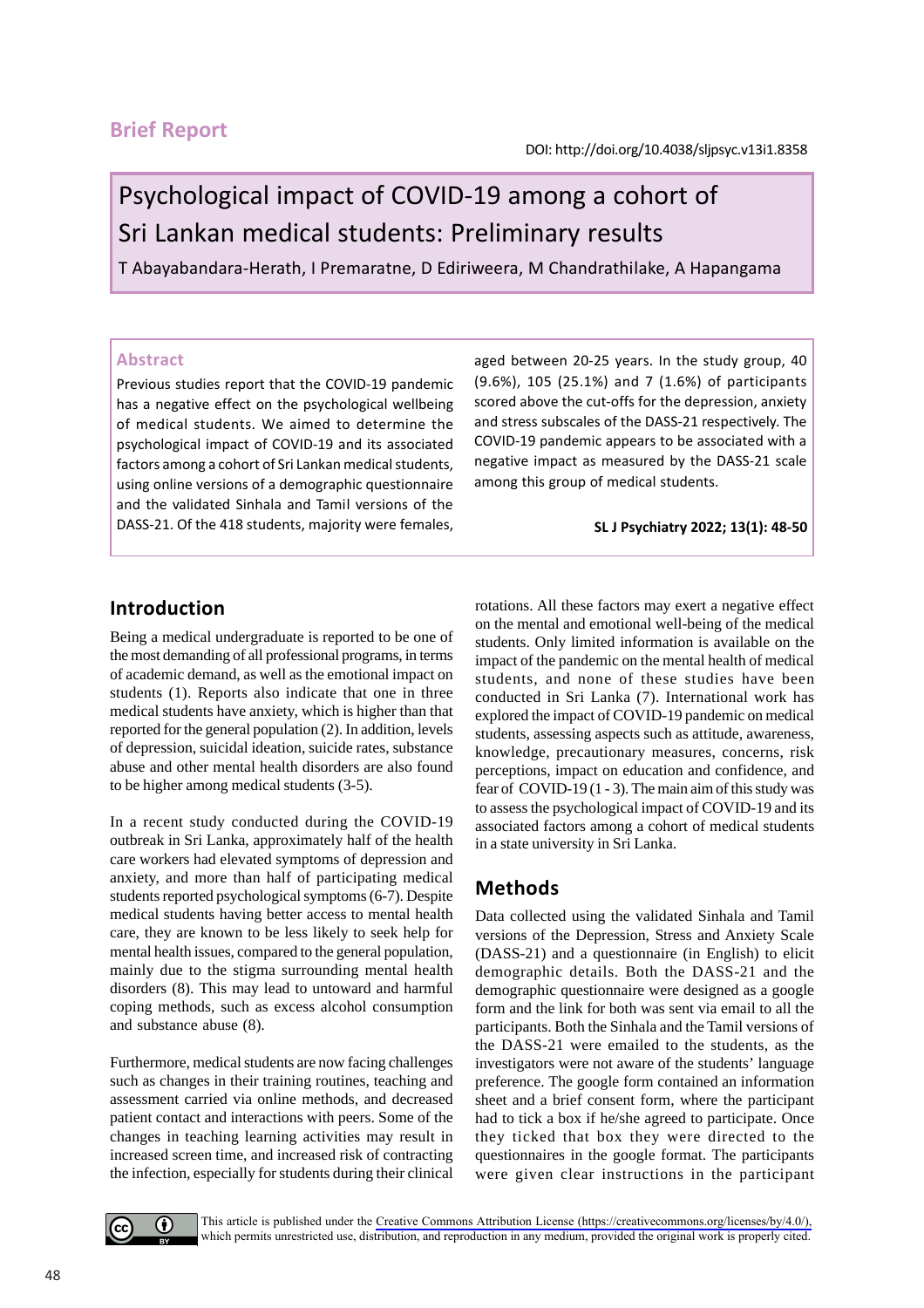## **Brief Report**

# Psychological impact of COVID-19 among a cohort of Sri Lankan medical students: Preliminary results

T Abayabandara-Herath, I Premaratne, D Ediriweera, M Chandrathilake, A Hapangama

#### **Abstract**

Previous studies report that the COVID-19 pandemic has a negative effect on the psychological wellbeing of medical students. We aimed to determine the psychological impact of COVID-19 and its associated factors among a cohort of Sri Lankan medical students, using online versions of a demographic questionnaire and the validated Sinhala and Tamil versions of the DASS-21. Of the 418 students, majority were females, aged between 20-25 years. In the study group, 40 (9.6%), 105 (25.1%) and 7 (1.6%) of participants scored above the cut-offs for the depression, anxiety and stress subscales of the DASS-21 respectively. The COVID-19 pandemic appears to be associated with a negative impact as measured by the DASS-21 scale among this group of medical students.

**SL J Psychiatry 2022; 13(1): 48-50**

## **Introduction**

Being a medical undergraduate is reported to be one of the most demanding of all professional programs, in terms of academic demand, as well as the emotional impact on students (1). Reports also indicate that one in three medical students have anxiety, which is higher than that reported for the general population (2). In addition, levels of depression, suicidal ideation, suicide rates, substance abuse and other mental health disorders are also found to be higher among medical students (3-5).

In a recent study conducted during the COVID-19 outbreak in Sri Lanka, approximately half of the health care workers had elevated symptoms of depression and anxiety, and more than half of participating medical students reported psychological symptoms (6-7). Despite medical students having better access to mental health care, they are known to be less likely to seek help for mental health issues, compared to the general population, mainly due to the stigma surrounding mental health disorders (8). This may lead to untoward and harmful coping methods, such as excess alcohol consumption and substance abuse (8).

Furthermore, medical students are now facing challenges such as changes in their training routines, teaching and assessment carried via online methods, and decreased patient contact and interactions with peers. Some of the changes in teaching learning activities may result in increased screen time, and increased risk of contracting the infection, especially for students during their clinical rotations. All these factors may exert a negative effect on the mental and emotional well-being of the medical students. Only limited information is available on the impact of the pandemic on the mental health of medical students, and none of these studies have been conducted in Sri Lanka (7). International work has explored the impact of COVID-19 pandemic on medical students, assessing aspects such as attitude, awareness, knowledge, precautionary measures, concerns, risk perceptions, impact on education and confidence, and fear of COVID-19 (1 - 3). The main aim of this study was to assess the psychological impact of COVID-19 and its associated factors among a cohort of medical students in a state university in Sri Lanka.

## **Methods**

Data collected using the validated Sinhala and Tamil versions of the Depression, Stress and Anxiety Scale (DASS-21) and a questionnaire (in English) to elicit demographic details. Both the DASS-21 and the demographic questionnaire were designed as a google form and the link for both was sent via email to all the participants. Both the Sinhala and the Tamil versions of the DASS-21 were emailed to the students, as the investigators were not aware of the students' language preference. The google form contained an information sheet and a brief consent form, where the participant had to tick a box if he/she agreed to participate. Once they ticked that box they were directed to the questionnaires in the google format. The participants were given clear instructions in the participant



This article is published under the [Creative Commons Attribution License \(https://creativecommons.org/licenses/by/4.0/\),](https://creativecommons.org/licenses/by/4.0/)  which permits unrestricted use, distribution, and reproduction in any medium, provided the original work is properly cited.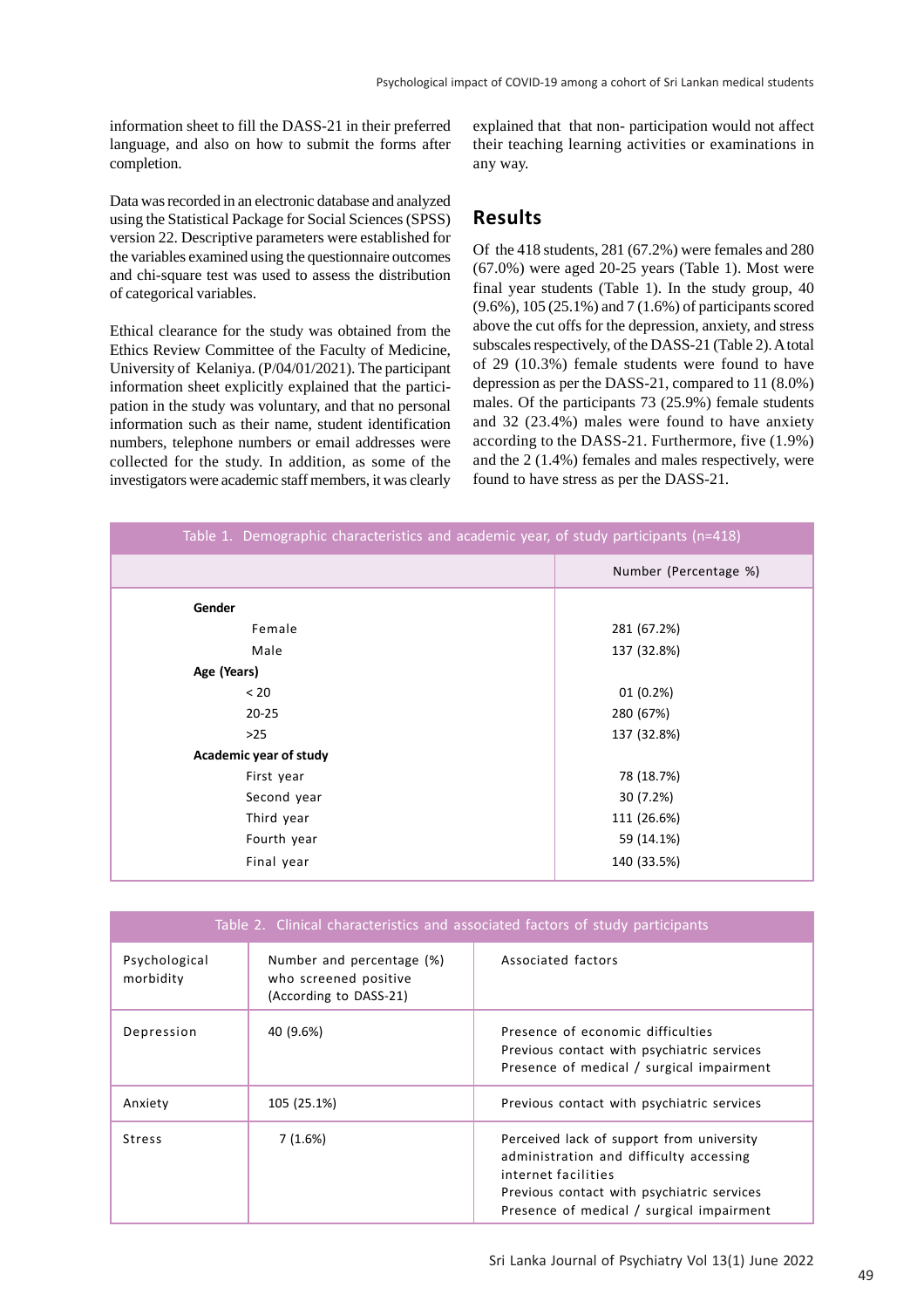information sheet to fill the DASS-21 in their preferred language, and also on how to submit the forms after completion.

Data was recorded in an electronic database and analyzed using the Statistical Package for Social Sciences (SPSS) version 22. Descriptive parameters were established for the variables examined using the questionnaire outcomes and chi-square test was used to assess the distribution of categorical variables.

Ethical clearance for the study was obtained from the Ethics Review Committee of the Faculty of Medicine, University of Kelaniya. (P/04/01/2021). The participant information sheet explicitly explained that the participation in the study was voluntary, and that no personal information such as their name, student identification numbers, telephone numbers or email addresses were collected for the study. In addition, as some of the investigators were academic staff members, it was clearly explained that that non- participation would not affect their teaching learning activities or examinations in any way.

#### **Results**

Of the 418 students, 281 (67.2%) were females and 280 (67.0%) were aged 20-25 years (Table 1). Most were final year students (Table 1). In the study group, 40 (9.6%), 105 (25.1%) and 7 (1.6%) of participants scored above the cut offs for the depression, anxiety, and stress subscales respectively, of the DASS-21 (Table 2). A total of 29 (10.3%) female students were found to have depression as per the DASS-21, compared to 11 (8.0%) males. Of the participants 73 (25.9%) female students and 32 (23.4%) males were found to have anxiety according to the DASS-21. Furthermore, five (1.9%) and the 2 (1.4%) females and males respectively, were found to have stress as per the DASS-21.

| Table 1. Demographic characteristics and academic year, of study participants (n=418) |                       |  |
|---------------------------------------------------------------------------------------|-----------------------|--|
|                                                                                       | Number (Percentage %) |  |
| Gender                                                                                |                       |  |
| Female                                                                                | 281 (67.2%)           |  |
| Male                                                                                  | 137 (32.8%)           |  |
| Age (Years)                                                                           |                       |  |
| < 20                                                                                  | 01(0.2%)              |  |
| $20 - 25$                                                                             | 280 (67%)             |  |
| $>25$                                                                                 | 137 (32.8%)           |  |
| Academic year of study                                                                |                       |  |
| First year                                                                            | 78 (18.7%)            |  |
| Second year                                                                           | 30 (7.2%)             |  |
| Third year                                                                            | 111 (26.6%)           |  |
| Fourth year                                                                           | 59 (14.1%)            |  |
| Final year                                                                            | 140 (33.5%)           |  |

| Table 2. Clinical characteristics and associated factors of study participants |                                                                              |                                                                                                                                                                                                        |
|--------------------------------------------------------------------------------|------------------------------------------------------------------------------|--------------------------------------------------------------------------------------------------------------------------------------------------------------------------------------------------------|
| Psychological<br>morbidity                                                     | Number and percentage (%)<br>who screened positive<br>(According to DASS-21) | Associated factors                                                                                                                                                                                     |
| Depression                                                                     | 40 (9.6%)                                                                    | Presence of economic difficulties<br>Previous contact with psychiatric services<br>Presence of medical / surgical impairment                                                                           |
| Anxiety                                                                        | 105 (25.1%)                                                                  | Previous contact with psychiatric services                                                                                                                                                             |
| <b>Stress</b>                                                                  | 7(1.6%)                                                                      | Perceived lack of support from university<br>administration and difficulty accessing<br>internet facilities<br>Previous contact with psychiatric services<br>Presence of medical / surgical impairment |